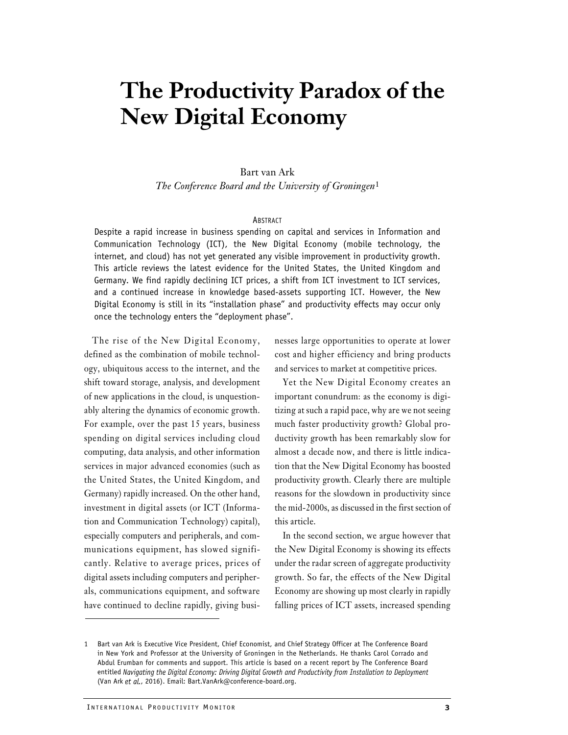## The Productivity Paradox of the New Digital Economy

#### Bart van Ark

The Conference Board and the University of Groningen<sup>1</sup>

#### **ABSTRACT**

Despite a rapid increase in business spending on capital and services in Information and Communication Technology (ICT), the New Digital Economy (mobile technology, the internet, and cloud) has not yet generated any visible improvement in productivity growth. This article reviews the latest evidence for the United States, the United Kingdom and Germany. We find rapidly declining ICT prices, a shift from ICT investment to ICT services, and a continued increase in knowledge based-assets supporting ICT. However, the New Digital Economy is still in its "installation phase" and productivity effects may occur only once the technology enters the "deployment phase".

The rise of the New Digital Economy, defined as the combination of mobile technology, ubiquitous access to the internet, and the shift toward storage, analysis, and development of new applications in the cloud, is unquestionably altering the dynamics of economic growth. For example, over the past 15 years, business spending on digital services including cloud computing, data analysis, and other information services in major advanced economies (such as the United States, the United Kingdom, and Germany) rapidly increased. On the other hand, investment in digital assets (or ICT (Information and Communication Technology) capital), especially computers and peripherals, and communications equipment, has slowed significantly. Relative to average prices, prices of digital assets including computers and peripherals, communications equipment, and software have continued to decline rapidly, giving businesses large opportunities to operate at lower cost and higher efficiency and bring products and services to market at competitive prices.

Yet the New Digital Economy creates an important conundrum: as the economy is digitizing at such a rapid pace, why are we not seeing much faster productivity growth? Global productivity growth has been remarkably slow for almost a decade now, and there is little indication that the New Digital Economy has boosted productivity growth. Clearly there are multiple reasons for the slowdown in productivity since the mid-2000s, as discussed in the first section of this article.

In the second section, we argue however that the New Digital Economy is showing its effects under the radar screen of aggregate productivity growth. So far, the effects of the New Digital Economy are showing up most clearly in rapidly falling prices of ICT assets, increased spending

Bart van Ark is Executive Vice President, Chief Economist, and Chief Strategy Officer at The in New York and Professor at the University of Groningen in the Netherlands. He thanks (Abdul Erumban for comments and support. T 1 Bart van Ark is Executive Vice President, Chief Economist, and Chief Strategy Officer at The Conference Board in New York and Professor at the University of Groningen in the Netherlands. He thanks Carol Corrado and Abdul Erumban for comments and support. This article is based on a recent report by The Conference Board entitled Navigating the Digital Economy: Driving Digital Growth and Productivity from Installation to Deployment (Van Ark et al., 2016). Email: Bart.VanArk@conference-board.org.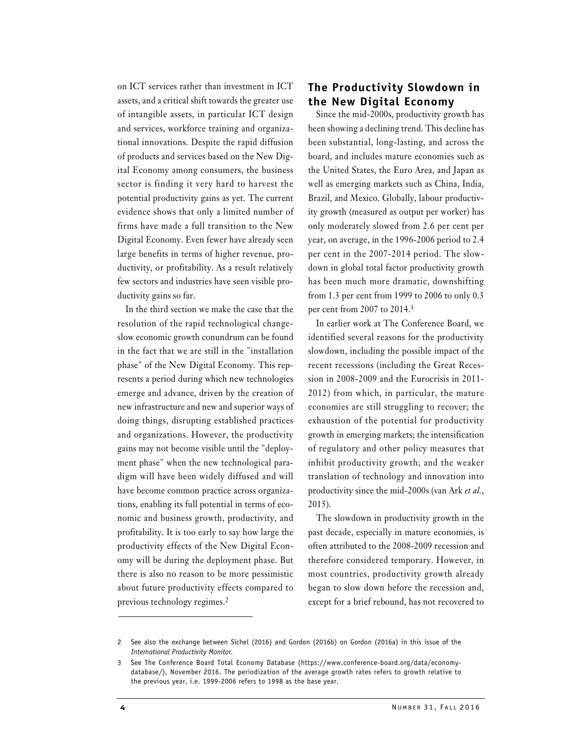assets, and a critical shift towards the greater use the New Digital Economy of intangible assets, in particular ICT design and services, workforce training and organizational innovations. Despite the rapid diffusion of products and services based on the New Digital Economy among consumers, the business sector is finding it very hard to harvest the potential productivity gains as yet. The current evidence shows that only a limited number of firms have made a full transition to the New Digital Economy. Even fewer have already seen large benefits in terms of higher revenue, productivity, or profitability. As a result relatively few sectors and industries have seen visible productivity gains so far.

In the third section we make the case that the resolution of the rapid technological changeslow economic growth conundrum can be found in the fact that we are still in the "installation phase" of the New Digital Economy. This represents a period during which new technologies emerge and advance, driven by the creation of new infrastructure and new and superior ways of doing things, disrupting established practices and organizations. However, the productivity gains may not become visible until the "deployment phase" when the new technological paradigm will have been widely diffused and will have become common practice across organizations, enabling its full potential in terms of economic and business growth, productivity, and profitability. It is too early to say how large the productivity effects of the New Digital Economy will be during the deployment phase. But there is also no reason to be more pessimistic about future productivity effects compared to previous technology regimes.2

## on ICT services rather than investment in ICT The Productivity Slowdown in

Since the mid-2000s, productivity growth has been showing a declining trend. This decline has been substantial, long-lasting, and across the board, and includes mature economies such as the United States, the Euro Area, and Japan as well as emerging markets such as China, India, Brazil, and Mexico. Globally, labour productivity growth (measured as output per worker) has only moderately slowed from 2.6 per cent per year, on average, in the 1996-2006 period to 2.4 per cent in the 2007-2014 period. The slowdown in global total factor productivity growth has been much more dramatic, downshifting from 1.3 per cent from 1999 to 2006 to only 0.3 per cent from 2007 to 2014.3

In earlier work at The Conference Board, we identified several reasons for the productivity slowdown, including the possible impact of the recent recessions (including the Great Recession in 2008-2009 and the Eurocrisis in 2011- 2012) from which, in particular, the mature economies are still struggling to recover; the exhaustion of the potential for productivity growth in emerging markets; the intensification of regulatory and other policy measures that inhibit productivity growth; and the weaker translation of technology and innovation into productivity since the mid-2000s (van Ark et al., 2015).

The slowdown in productivity growth in the past decade, especially in mature economies, is often attributed to the 2008-2009 recession and therefore considered temporary. However, in most countries, productivity growth already began to slow down before the recession and, except for a brief rebound, has not recovered to

<sup>2</sup> See also the exchange between Sichel (2016) and Gordon (2016b) on Gordon (2016a) in this issue of the International Productivity Monitor.

a) in this issue of the<br>a) in this issue of the<br>rd.org/data/economy-<br>to growth relative to<br>NUMBER 31, FALL 2016 3 See The Conference Board Total Economy Database (https://www.conference-board.org/data/economydatabase/), November 2016. The periodization of the average growth rates refers to growth relative to the previous year, i.e. 1999-2006 refers to 1998 as the base year.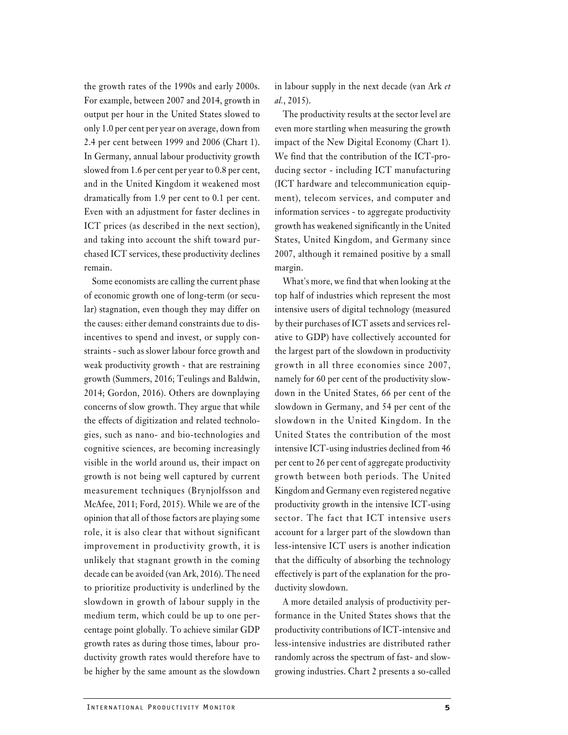the growth rates of the 1990s and early 2000s. For example, between 2007 and 2014, growth in output per hour in the United States slowed to only 1.0 per cent per year on average, down from 2.4 per cent between 1999 and 2006 (Chart 1). In Germany, annual labour productivity growth slowed from 1.6 per cent per year to 0.8 per cent, and in the United Kingdom it weakened most dramatically from 1.9 per cent to 0.1 per cent. Even with an adjustment for faster declines in ICT prices (as described in the next section), and taking into account the shift toward purchased ICT services, these productivity declines remain.

I NOT EXERCISE THE REFORM IN THE RANGE INTERNATIONAL PRODUCTIVITY MONITOR<br>INTERNATIONAL PRODUCTIVITY MONITOR<br>INTERNATIONAL PRODUCTIVITY MONITOR<br>INTERNATIONAL PRODUCTIVITY MONITOR Some economists are calling the current phase of economic growth one of long-term (or secular) stagnation, even though they may differ on the causes: either demand constraints due to disincentives to spend and invest, or supply constraints - such as slower labour force growth and weak productivity growth - that are restraining growth (Summers, 2016; Teulings and Baldwin, 2014; Gordon, 2016). Others are downplaying concerns of slow growth. They argue that while the effects of digitization and related technologies, such as nano- and bio-technologies and cognitive sciences, are becoming increasingly visible in the world around us, their impact on growth is not being well captured by current measurement techniques (Brynjolfsson and McAfee, 2011; Ford, 2015). While we are of the opinion that all of those factors are playing some role, it is also clear that without significant improvement in productivity growth, it is unlikely that stagnant growth in the coming decade can be avoided (van Ark, 2016). The need to prioritize productivity is underlined by the slowdown in growth of labour supply in the medium term, which could be up to one percentage point globally. To achieve similar GDP growth rates as during those times, labour productivity growth rates would therefore have to be higher by the same amount as the slowdown

in labour supply in the next decade (van Ark et al., 2015).

The productivity results at the sector level are even more startling when measuring the growth impact of the New Digital Economy (Chart 1). We find that the contribution of the ICT-producing sector - including ICT manufacturing (ICT hardware and telecommunication equipment), telecom services, and computer and information services - to aggregate productivity growth has weakened significantly in the United States, United Kingdom, and Germany since 2007, although it remained positive by a small margin.

What's more, we find that when looking at the top half of industries which represent the most intensive users of digital technology (measured by their purchases of ICT assets and services relative to GDP) have collectively accounted for the largest part of the slowdown in productivity growth in all three economies since 2007, namely for 60 per cent of the productivity slowdown in the United States, 66 per cent of the slowdown in Germany, and 54 per cent of the slowdown in the United Kingdom. In the United States the contribution of the most intensive ICT-using industries declined from 46 per cent to 26 per cent of aggregate productivity growth between both periods. The United Kingdom and Germany even registered negative productivity growth in the intensive ICT-using sector. The fact that ICT intensive users account for a larger part of the slowdown than less-intensive ICT users is another indication that the difficulty of absorbing the technology effectively is part of the explanation for the productivity slowdown.

A more detailed analysis of productivity performance in the United States shows that the productivity contributions of ICT-intensive and less-intensive industries are distributed rather randomly across the spectrum of fast- and slowgrowing industries. Chart 2 presents a so-called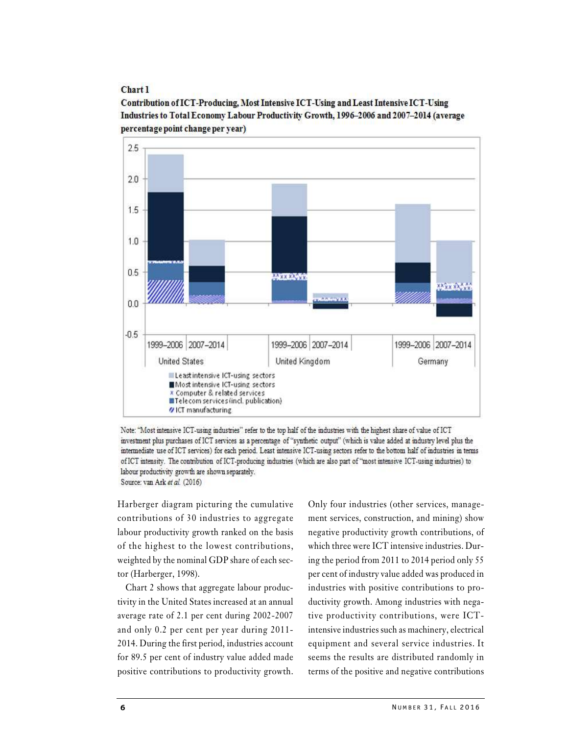Chart 1

Contribution of ICT-Producing, Most Intensive ICT-Using and Least Intensive ICT-Using Industries to Total Economy Labour Productivity Growth, 1996-2006 and 2007-2014 (average percentage point change per vear)



Note: "Most intensive ICT-using industries" refer to the top half of the industries with the highest share of value of ICT investment plus purchases of ICT services as a percentage of "synthetic output" (which is value added at industry level plus the intermediate use of ICT services) for each period. Least intensive ICT-using sectors refer to the bottom half of industries in terms of ICT intensity. The contribution of ICT-producing industries (which are also part of "most intensive ICT-using industries) to labour productivity growth are shown separately. Source: van Ark et al. (2016)

Harberger diagram picturing the cumulative contributions of 30 industries to aggregate labour productivity growth ranked on the basis of the highest to the lowest contributions, weighted by the nominal GDP share of each sector (Harberger, 1998).

Chart 2 shows that aggregate labour productivity in the United States increased at an annual average rate of 2.1 per cent during 2002-2007 and only 0.2 per cent per year during 2011- 2014. During the first period, industries account equipment and several service industries. It for 89.5 per cent of industry value added made positive contributions to productivity growth.

ng industries with nega-<br>tributions, were ICT-<br>h as machinery, electrical<br>al service industries. It<br>distributed randomly in<br>nd negative contributions<br>NUMBER 31, FALL 2016 Only four industries (other services, management services, construction, and mining) show negative productivity growth contributions, of which three were ICT intensive industries. During the period from 2011 to 2014 period only 55 per cent of industry value added was produced in industries with positive contributions to productivity growth. Among industries with negative productivity contributions, were ICTintensive industries such as machinery, electrical negative productivity growth contributions, of<br>which three were ICT intensive industries. Dur-<br>ing the period from 2011 to 2014 period only 55<br>per cent of industry value added was produced in<br>industries with positive contr seems the results are distributed randomly in terms of the positive and negative contributions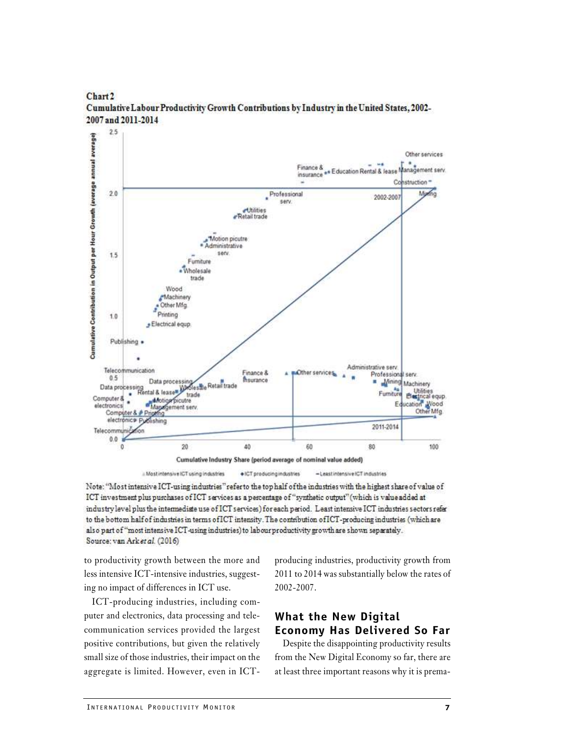

Chart<sub>2</sub> Cumulative Labour Productivity Growth Contributions by Industry in the United States, 2002-2007 and 2011-2014

a Most intensive ICT using industries · ICT producing industries -Leastintensive ICT industries

Note: "Most intensive ICT-using industries" refer to the top half of the industries with the highest share of value of ICT investment plus purchases of ICT services as a percentage of "synthetic output" (which is value added at industry level plus the intermediate use of ICT services) for each period. Least intensive ICT industries sectors refer to the bottom half of industries in terms of ICT intensity. The contribution of ICT-producing industries (which are also part of "most intensive ICT-using industries) to labour productivity growth are shown separately. Source: van Arket al. (2016)

to productivity growth between the more and less intensive ICT-intensive industries, suggesting no impact of differences in ICT use.

ICT-producing industries, including com-<br>
uter and electronics, data processing and tele-<br> **What the New Displement Communication services provided the largest**<br> **Economy Has Deli**<br>
nositive contributions, but given the re ICT-producing industries, including computer and electronics, data processing and telecommunication services provided the largest **Economy Has Delivered So Far** positive contributions, but given the relatively small size of those industries, their impact on the aggregate is limited. However, even in ICT-

producing industries, productivity growth from 2011 to 2014 was substantially below the rates of 2002-2007.

Despite the disappointing productivity results from the New Digital Economy so far, there are at least three important reasons why it is prema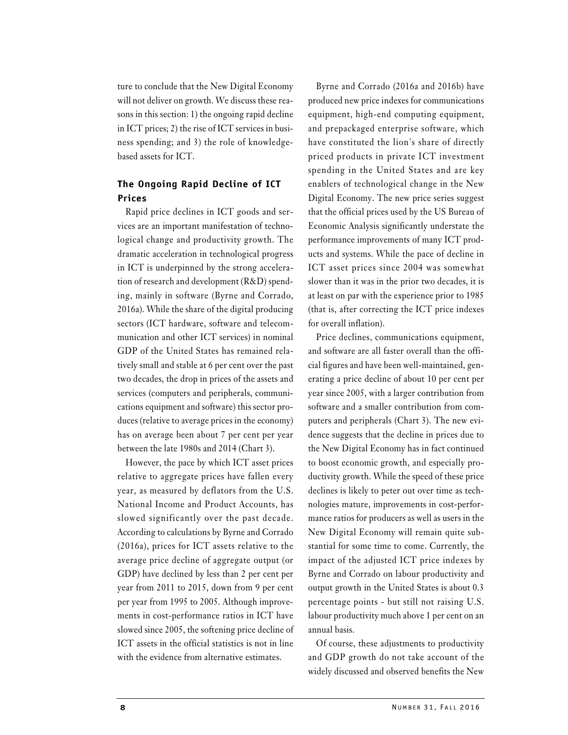ture to conclude that the New Digital Economy will not deliver on growth. We discuss these reasons in this section: 1) the ongoing rapid decline in ICT prices; 2) the rise of ICT services in business spending; and 3) the role of knowledgebased assets for ICT.

### The Ongoing Rapid Decline of ICT **Prices**

Rapid price declines in ICT goods and services are an important manifestation of technological change and productivity growth. The dramatic acceleration in technological progress in ICT is underpinned by the strong acceleration of research and development (R&D) spending, mainly in software (Byrne and Corrado, 2016a). While the share of the digital producing sectors (ICT hardware, software and telecommunication and other ICT services) in nominal GDP of the United States has remained relatively small and stable at 6 per cent over the past two decades, the drop in prices of the assets and services (computers and peripherals, communications equipment and software) this sector produces (relative to average prices in the economy) has on average been about 7 per cent per year between the late 1980s and 2014 (Chart 3).

However, the pace by which ICT asset prices relative to aggregate prices have fallen every year, as measured by deflators from the U.S. National Income and Product Accounts, has slowed significantly over the past decade. According to calculations by Byrne and Corrado (2016a), prices for ICT assets relative to the average price decline of aggregate output (or GDP) have declined by less than 2 per cent per year from 2011 to 2015, down from 9 per cent per year from 1995 to 2005. Although improvements in cost-performance ratios in ICT have slowed since 2005, the softening price decline of ICT assets in the official statistics is not in line with the evidence from alternative estimates.

Byrne and Corrado (2016a and 2016b) have produced new price indexes for communications equipment, high-end computing equipment, and prepackaged enterprise software, which have constituted the lion's share of directly priced products in private ICT investment spending in the United States and are key enablers of technological change in the New Digital Economy. The new price series suggest that the official prices used by the US Bureau of Economic Analysis significantly understate the performance improvements of many ICT products and systems. While the pace of decline in ICT asset prices since 2004 was somewhat slower than it was in the prior two decades, it is at least on par with the experience prior to 1985 (that is, after correcting the ICT price indexes for overall inflation).

ut still not raising U.S.<br>ch above 1 per cent on an<br>ustments to productivity<br>not take account of the<br>bserved benefits the New<br>NUMBER 31, FALL 2016 Price declines, communications equipment, and software are all faster overall than the official figures and have been well-maintained, generating a price decline of about 10 per cent per year since 2005, with a larger contribution from software and a smaller contribution from computers and peripherals (Chart 3). The new evidence suggests that the decline in prices due to the New Digital Economy has in fact continued to boost economic growth, and especially productivity growth. While the speed of these price declines is likely to peter out over time as technologies mature, improvements in cost-performance ratios for producers as well as users in the New Digital Economy will remain quite substantial for some time to come. Currently, the impact of the adjusted ICT price indexes by Byrne and Corrado on labour productivity and output growth in the United States is about 0.3 percentage points - but still not raising U.S. labour productivity much above 1 per cent on an annual basis.

Of course, these adjustments to productivity and GDP growth do not take account of the widely discussed and observed benefits the New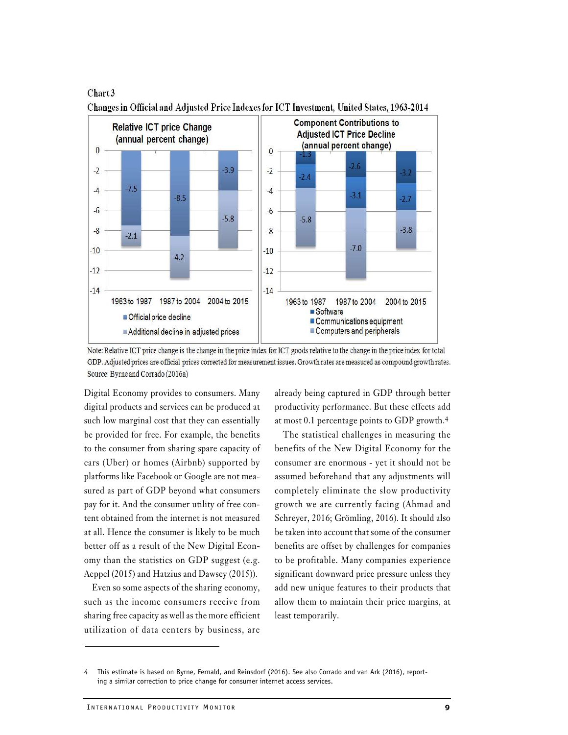Chart 3



Changes in Official and Adjusted Price Indexes for ICT Investment, United States, 1963-2014

Digital Economy provides to consumers. Many digital products and services can be produced at such low marginal cost that they can essentially be provided for free. For example, the benefits to the consumer from sharing spare capacity of cars (Uber) or homes (Airbnb) supported by platforms like Facebook or Google are not measured as part of GDP beyond what consumers pay for it. And the consumer utility of free content obtained from the internet is not measured at all. Hence the consumer is likely to be much better off as a result of the New Digital Economy than the statistics on GDP suggest (e.g. Aeppel (2015) and Hatzius and Dawsey (2015)).

In the income consumers receive from allow them to maintain the haring free capacity as well as the more efficient least temporarily.<br>Initilization of data centers by business, are<br>Initiation of data centers by business, a Even so some aspects of the sharing economy, such as the income consumers receive from sharing free capacity as well as the more efficient utilization of data centers by business, are

already being captured in GDP through better productivity performance. But these effects add at most 0.1 percentage points to GDP growth.4

The statistical challenges in measuring the benefits of the New Digital Economy for the consumer are enormous - yet it should not be assumed beforehand that any adjustments will completely eliminate the slow productivity growth we are currently facing (Ahmad and Schreyer, 2016; Grömling, 2016). It should also be taken into account that some of the consumer benefits are offset by challenges for companies to be profitable. Many companies experience significant downward price pressure unless they add new unique features to their products that allow them to maintain their price margins, at least temporarily.

Note: Relative ICT price change is the change in the price index for ICT goods relative to the change in the price index for total GDP. Adjusted prices are official prices corrected for measurement issues. Growth rates are measured as compound growth rates. Source: Byrne and Corrado (2016a)

<sup>4</sup> This estimate is based on Byrne, Fernald, and Reinsdorf (2016). See also Corrado and van Ark (2016), reporting a similar correction to price change for consumer internet access services.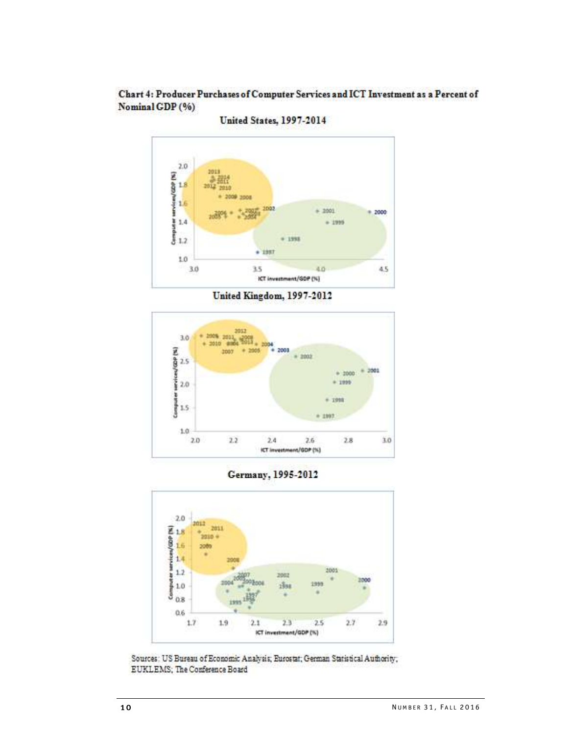Chart 4: Producer Purchases of Computer Services and ICT Investment as a Percent of Nominal GDP (%)



**United States, 1997-2014** 

United Kingdom, 1997-2012



Germany, 1995-2012



EUKLEMS; The Conference Board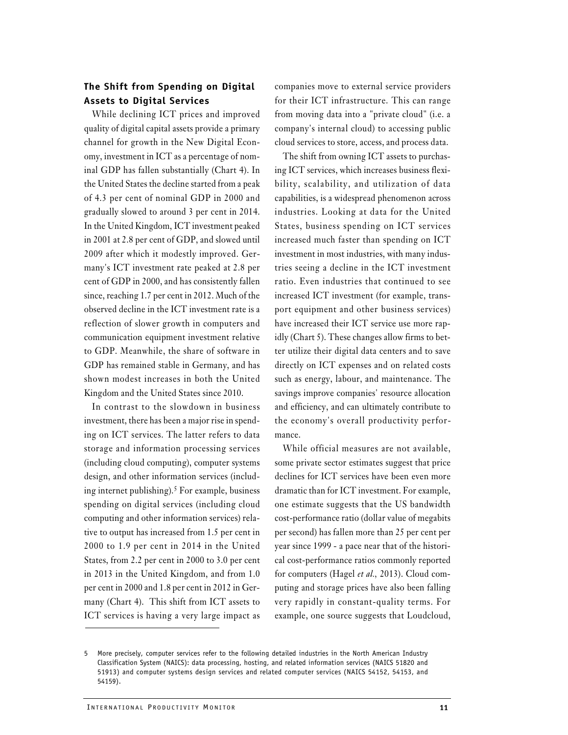### The Shift from Spending on Digital **Assets to Digital Services**

While declining ICT prices and improved quality of digital capital assets provide a primary channel for growth in the New Digital Economy, investment in ICT as a percentage of nominal GDP has fallen substantially (Chart 4). In the United States the decline started from a peak of 4.3 per cent of nominal GDP in 2000 and gradually slowed to around 3 per cent in 2014. In the United Kingdom, ICT investment peaked in 2001 at 2.8 per cent of GDP, and slowed until 2009 after which it modestly improved. Germany's ICT investment rate peaked at 2.8 per cent of GDP in 2000, and has consistently fallen since, reaching 1.7 per cent in 2012. Much of the observed decline in the ICT investment rate is a reflection of slower growth in computers and communication equipment investment relative to GDP. Meanwhile, the share of software in GDP has remained stable in Germany, and has shown modest increases in both the United Kingdom and the United States since 2010.

In contrast to the slowdown in business investment, there has been a major rise in spending on ICT services. The latter refers to data storage and information processing services (including cloud computing), computer systems design, and other information services (including internet publishing).5 For example, business spending on digital services (including cloud computing and other information services) relative to output has increased from 1.5 per cent in 2000 to 1.9 per cent in 2014 in the United States, from 2.2 per cent in 2000 to 3.0 per cent in 2013 in the United Kingdom, and from 1.0 per cent in 2000 and 1.8 per cent in 2012 in Germany (Chart 4). This shift from ICT assets to ICT services is having a very large impact as

companies move to external service providers for their ICT infrastructure. This can range from moving data into a "private cloud" (i.e. a company's internal cloud) to accessing public cloud services to store, access, and process data.

The shift from owning ICT assets to purchasing ICT services, which increases business flexibility, scalability, and utilization of data capabilities, is a widespread phenomenon across industries. Looking at data for the United States, business spending on ICT services increased much faster than spending on ICT investment in most industries, with many industries seeing a decline in the ICT investment ratio. Even industries that continued to see increased ICT investment (for example, transport equipment and other business services) have increased their ICT service use more rapidly (Chart 5). These changes allow firms to better utilize their digital data centers and to save directly on ICT expenses and on related costs such as energy, labour, and maintenance. The savings improve companies' resource allocation and efficiency, and can ultimately contribute to the economy's overall productivity performance.

While official measures are not available, some private sector estimates suggest that price declines for ICT services have been even more dramatic than for ICT investment. For example, one estimate suggests that the US bandwidth cost-performance ratio (dollar value of megabits per second) has fallen more than 25 per cent per year since 1999 - a pace near that of the historical cost-performance ratios commonly reported for computers (Hagel et al., 2013). Cloud computing and storage prices have also been falling very rapidly in constant-quality terms. For example, one source suggests that Loudcloud,

many (Chart 4). This shift from ICT assets to very rapidly in constant-<br>CT services is having a very large impact as example, one source sugge<br>More precisely, computer services refer to the following detailed industries in 5 More precisely, computer services refer to the following detailed industries in the North American Industry Classification System (NAICS): data processing, hosting, and related information services (NAICS 51820 and 51913) and computer systems design services and related computer services (NAICS 54152, 54153, and 54159).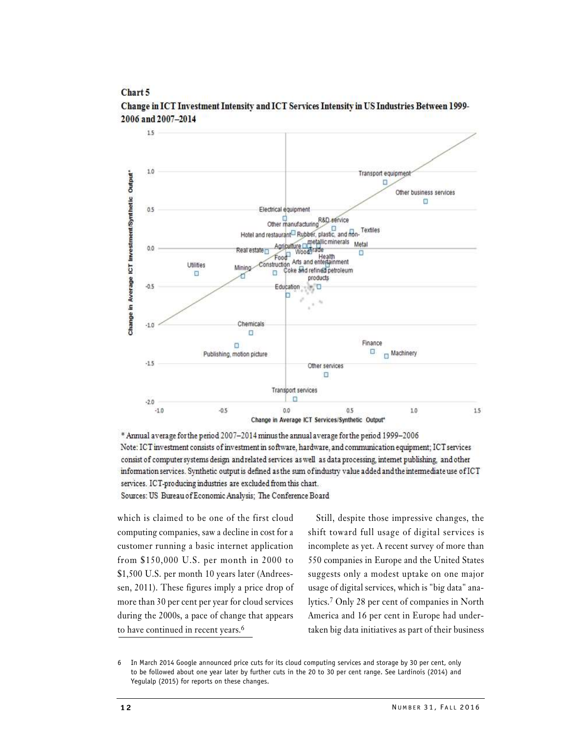#### Chart 5



Change in ICT Investment Intensity and ICT Services Intensity in US Industries Between 1999-2006 and 2007-2014

\* Annual average for the period 2007-2014 minus the annual average for the period 1999-2006 Note: ICT investment consists of investment in software, hardware, and communication equipment; ICT services consist of computer systems design and related services as well as data processing, internet publishing, and other information services. Synthetic output is defined as the sum of industry value added and the intermediate use of ICT  $\,$ services. ICT-producing industries are excluded from this chart.

Sources: US Bureau of Economic Analysis; The Conference Board

which is claimed to be one of the first cloud computing companies, saw a decline in cost for a customer running a basic internet application from \$150,000 U.S. per month in 2000 to \$1,500 U.S. per month 10 years later (Andreessen, 2011). These figures imply a price drop of more than 30 per cent per year for cloud services during the 2000s, a pace of change that appears to have continued in recent years.<sup>6</sup>

nt of companies in North<br>nt in Europe had under-<br>es as part of their business<br>ge by 30 per cent, only<br>e Lardinois (2014) and<br>NUMBER 31, FALL 2016 Still, despite those impressive changes, the shift toward full usage of digital services is incomplete as yet. A recent survey of more than 550 companies in Europe and the United States suggests only a modest uptake on one major usage of digital services, which is "big data" analytics.7 Only 28 per cent of companies in North America and 16 per cent in Europe had undertaken big data initiatives as part of their business

<sup>6</sup> In March 2014 Google announced price cuts for its cloud computing services and storage by 30 per cent, only to be followed about one year later by further cuts in the 20 to 30 per cent range. See Lardinois (2014) and Yegulalp (2015) for reports on these changes.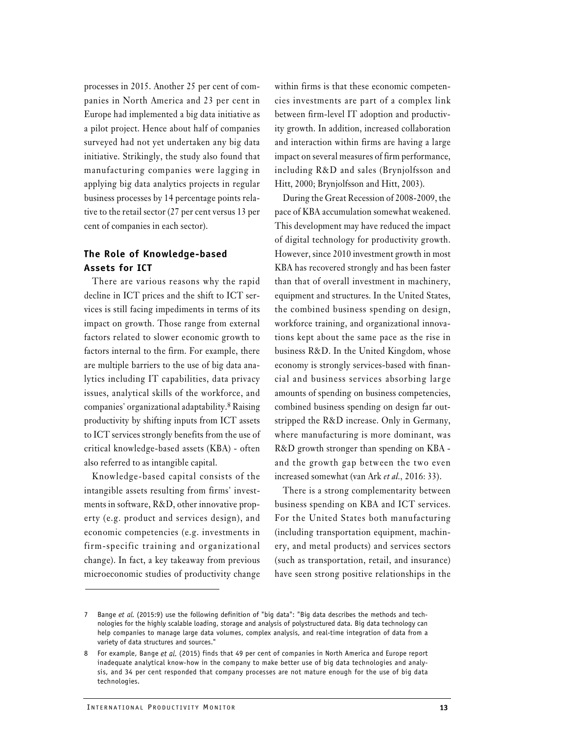processes in 2015. Another 25 per cent of companies in North America and 23 per cent in Europe had implemented a big data initiative as a pilot project. Hence about half of companies surveyed had not yet undertaken any big data initiative. Strikingly, the study also found that manufacturing companies were lagging in applying big data analytics projects in regular business processes by 14 percentage points relative to the retail sector (27 per cent versus 13 per cent of companies in each sector).

#### The Role of Knowledge-based Assets for ICT

There are various reasons why the rapid decline in ICT prices and the shift to ICT services is still facing impediments in terms of its impact on growth. Those range from external factors related to slower economic growth to factors internal to the firm. For example, there are multiple barriers to the use of big data analytics including IT capabilities, data privacy issues, analytical skills of the workforce, and companies' organizational adaptability.8 Raising productivity by shifting inputs from ICT assets to ICT services strongly benefits from the use of critical knowledge-based assets (KBA) - often also referred to as intangible capital.

Knowledge-based capital consists of the intangible assets resulting from firms' investments in software, R&D, other innovative property (e.g. product and services design), and economic competencies (e.g. investments in firm-specific training and organizational change). In fact, a key takeaway from previous microeconomic studies of productivity change within firms is that these economic competencies investments are part of a complex link between firm-level IT adoption and productivity growth. In addition, increased collaboration and interaction within firms are having a large impact on several measures of firm performance, including R&D and sales (Brynjolfsson and Hitt, 2000; Brynjolfsson and Hitt, 2003).

During the Great Recession of 2008-2009, the pace of KBA accumulation somewhat weakened. This development may have reduced the impact of digital technology for productivity growth. However, since 2010 investment growth in most KBA has recovered strongly and has been faster than that of overall investment in machinery, equipment and structures. In the United States, the combined business spending on design, workforce training, and organizational innovations kept about the same pace as the rise in business R&D. In the United Kingdom, whose economy is strongly services-based with financial and business services absorbing large amounts of spending on business competencies, combined business spending on design far outstripped the R&D increase. Only in Germany, where manufacturing is more dominant, was R&D growth stronger than spending on KBA and the growth gap between the two even increased somewhat (van Ark et al., 2016: 33).

There is a strong complementarity between business spending on KBA and ICT services. For the United States both manufacturing (including transportation equipment, machinery, and metal products) and services sectors (such as transportation, retail, and insurance) have seen strong positive relationships in the

Bange *et al.* (2015:9) use the following definition of "big data": "Big data describes the mologies for the highly scalable loading, storage and analysis of polystructured data. Big dat help companies to manage large dat Bange et al. (2015:9) use the following definition of "big data": "Big data describes the methods and technologies for the highly scalable loading, storage and analysis of polystructured data. Big data technology can help companies to manage large data volumes, complex analysis, and real-time integration of data from a variety of data structures and sources."

For example, Bange et al. (2015) finds that 49 per cent of companies in North America and Europe report inadequate analytical know-how in the company to make better use of big data technologies and analysis, and 34 per cent responded that company processes are not mature enough for the use of big data technologies.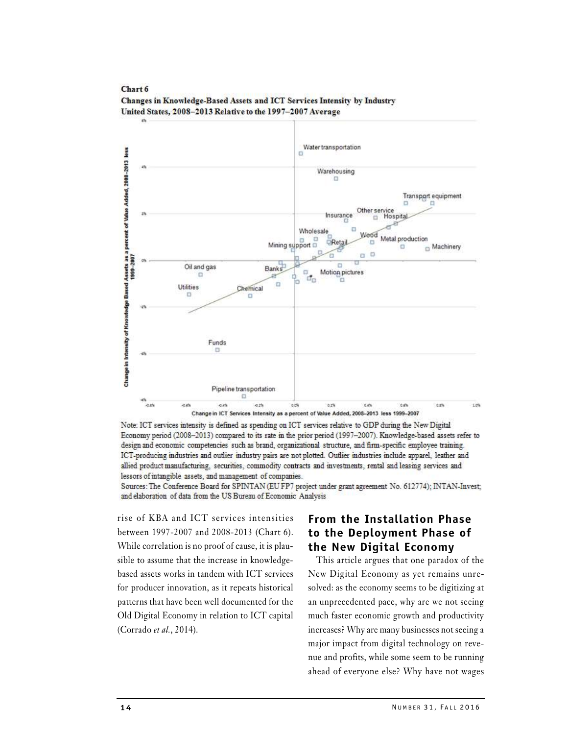

Chart 6 Changes in Knowledge-Based Assets and ICT Services Intensity by Industry United States, 2008-2013 Relative to the 1997-2007 Average

Note: ICT services intensity is defined as spending on ICT services relative to GDP during the New Digital Economy period (2008-2013) compared to its rate in the prior period (1997-2007). Knowledge-based assets refer to design and economic competencies such as brand, organizational structure, and firm-specific employee training. ICT-producing industries and outlier industry pairs are not plotted. Outlier industries include apparel, leather and allied product manufacturing, securities, commodity contracts and investments, rental and leasing services and lessors of intangible assets, and management of companies.

Sources: The Conference Board for SPINTAN (EU FP7 project under grant agreement No. 612774); INTAN-Invest; and elaboration of data from the US Bureau of Economic Analysis

rise of KBA and ICT services intensities From the Installation Phase between 1997-2007 and 2008-2013 (Chart 6). to the Deployment Phase of While correlation is no proof of cause, it is plausible to assume that the increase in knowledgebased assets works in tandem with ICT services for producer innovation, as it repeats historical patterns that have been well documented for the Old Digital Economy in relation to ICT capital (Corrado et al., 2014).

# the New Digital Economy

Eq. why are we not seeing<br>growth and productivity<br>ny businesses not seeing a<br>ital technology on reve-<br>some seem to be running<br>e? Why have not wages<br>NUMBER 31, FALL 2016 This article argues that one paradox of the New Digital Economy as yet remains unresolved: as the economy seems to be digitizing at an unprecedented pace, why are we not seeing much faster economic growth and productivity increases? Why are many businesses not seeing a major impact from digital technology on revenue and profits, while some seem to be running ahead of everyone else? Why have not wages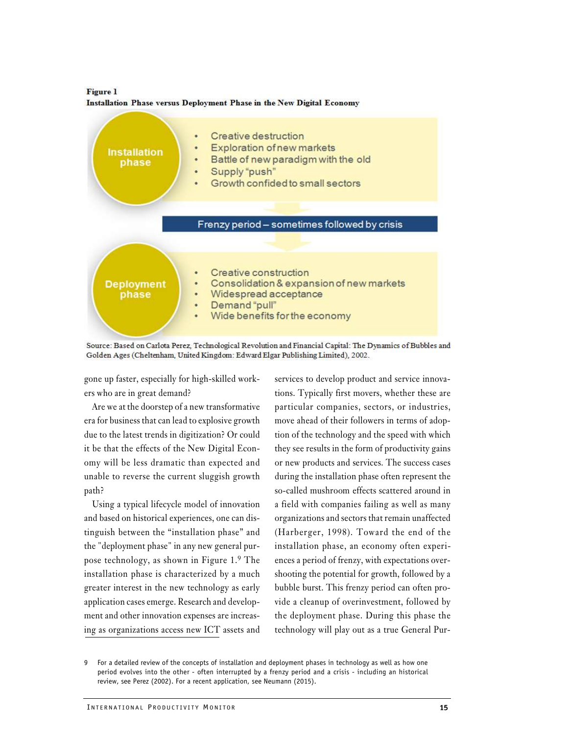**Figure 1** Installation Phase versus Deployment Phase in the New Digital Economy



Source: Based on Carlota Perez, Technological Revolution and Financial Capital: The Dynamics of Bubbles and Golden Ages (Cheltenham, United Kingdom: Edward Elgar Publishing Limited), 2002.

gone up faster, especially for high-skilled workers who are in great demand?

Are we at the doorstep of a new transformative era for business that can lead to explosive growth due to the latest trends in digitization? Or could it be that the effects of the New Digital Economy will be less dramatic than expected and unable to reverse the current sluggish growth path?

Using a typical lifecycle model of innovation and based on historical experiences, one can distinguish between the "installation phase" and the "deployment phase" in any new general purpose technology, as shown in Figure 1.9 The installation phase is characterized by a much greater interest in the new technology as early application cases emerge. Research and development and other innovation expenses are increasing as organizations access new ICT assets and

services to develop product and service innovations. Typically first movers, whether these are particular companies, sectors, or industries, move ahead of their followers in terms of adoption of the technology and the speed with which they see results in the form of productivity gains or new products and services. The success cases during the installation phase often represent the so-called mushroom effects scattered around in a field with companies failing as well as many organizations and sectors that remain unaffected (Harberger, 1998). Toward the end of the installation phase, an economy often experiences a period of frenzy, with expectations overshooting the potential for growth, followed by a bubble burst. This frenzy period can often provide a cleanup of overinvestment, followed by the deployment phase. During this phase the technology will play out as a true General Pur-

pplication cases emerge. Research and develop-<br>nent and other innovation expenses are increas-<br>neg as organizations access new ICT assets and<br>technology will play out as<br>For a detailed review of the concepts of installatio 9 For a detailed review of the concepts of installation and deployment phases in technology as well as how one period evolves into the other - often interrupted by a frenzy period and a crisis - including an historical review, see Perez (2002). For a recent application, see Neumann (2015).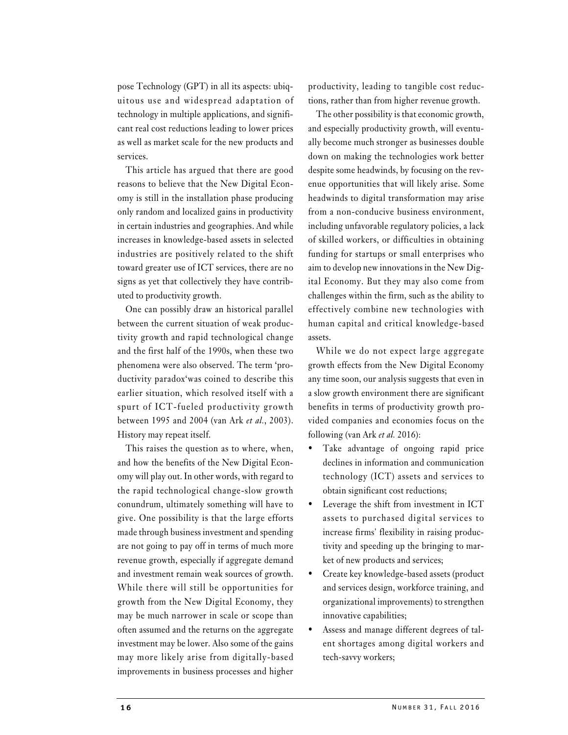pose Technology (GPT) in all its aspects: ubiquitous use and widespread adaptation of technology in multiple applications, and significant real cost reductions leading to lower prices as well as market scale for the new products and services.

This article has argued that there are good reasons to believe that the New Digital Economy is still in the installation phase producing only random and localized gains in productivity in certain industries and geographies. And while increases in knowledge-based assets in selected industries are positively related to the shift toward greater use of ICT services, there are no signs as yet that collectively they have contributed to productivity growth.

One can possibly draw an historical parallel between the current situation of weak productivity growth and rapid technological change and the first half of the 1990s, when these two phenomena were also observed. The term 'productivity paradox'was coined to describe this earlier situation, which resolved itself with a spurt of ICT-fueled productivity growth between 1995 and 2004 (van Ark et al., 2003). History may repeat itself.

This raises the question as to where, when,  $\bullet$ and how the benefits of the New Digital Economy will play out. In other words, with regard to the rapid technological change-slow growth conundrum, ultimately something will have to give. One possibility is that the large efforts made through business investment and spending are not going to pay off in terms of much more revenue growth, especially if aggregate demand and investment remain weak sources of growth. While there will still be opportunities for growth from the New Digital Economy, they may be much narrower in scale or scope than often assumed and the returns on the aggregate investment may be lower. Also some of the gains may more likely arise from digitally-based improvements in business processes and higher

productivity, leading to tangible cost reductions, rather than from higher revenue growth.

The other possibility is that economic growth, and especially productivity growth, will eventually become much stronger as businesses double down on making the technologies work better despite some headwinds, by focusing on the revenue opportunities that will likely arise. Some headwinds to digital transformation may arise from a non-conducive business environment, including unfavorable regulatory policies, a lack of skilled workers, or difficulties in obtaining funding for startups or small enterprises who aim to develop new innovations in the New Digital Economy. But they may also come from challenges within the firm, such as the ability to effectively combine new technologies with human capital and critical knowledge-based assets.

While we do not expect large aggregate growth effects from the New Digital Economy any time soon, our analysis suggests that even in a slow growth environment there are significant benefits in terms of productivity growth provided companies and economies focus on the following (van Ark et al. 2016):

- Take advantage of ongoing rapid price declines in information and communication technology (ICT) assets and services to obtain significant cost reductions;
- Leverage the shift from investment in ICT assets to purchased digital services to increase firms' flexibility in raising productivity and speeding up the bringing to market of new products and services;
- Create key knowledge-based assets (product and services design, workforce training, and organizational improvements) to strengthen innovative capabilities;
- The Transmussed Strengthen<br>
The Street Strengthen<br>
Experiment degrees of tal-<br>
Strengthen Strengthen<br>
Strengthen Strengthen<br>
NUMBER 31, FALL 2016 Assess and manage different degrees of talent shortages among digital workers and tech-savvy workers;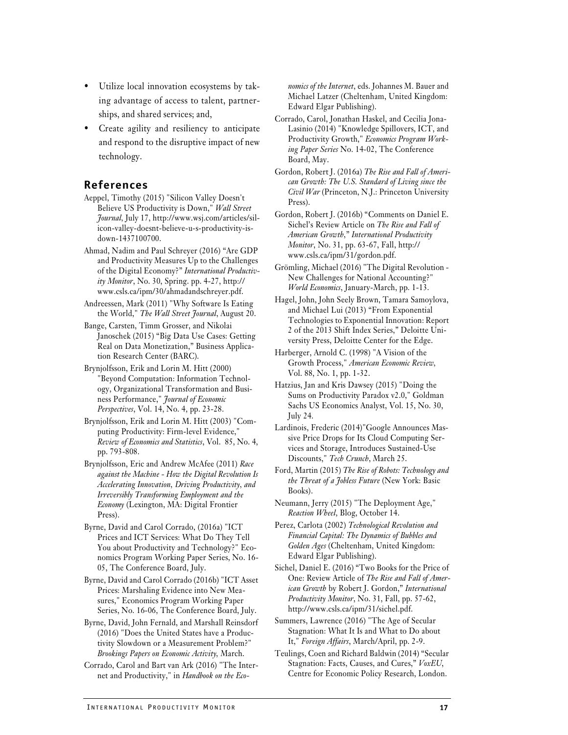- Utilize local innovation ecosystems by taking advantage of access to talent, partnerships, and shared services; and,
- Create agility and resiliency to anticipate and respond to the disruptive impact of new technology.

#### **References**

- Aeppel, Timothy (2015) "Silicon Valley Doesn't Believe US Productivity is Down," Wall Street Journal, July 17, http://www.wsj.com/articles/silicon-valley-doesnt-believe-u-s-productivity-isdown-1437100700.
- Ahmad, Nadim and Paul Schreyer (2016) "Are GDP and Productivity Measures Up to the Challenges of the Digital Economy?" International Productivity Monitor, No. 30, Spring. pp. 4-27, http:// www.csls.ca/ipm/30/ahmadandschreyer.pdf.
- Andreessen, Mark (2011) "Why Software Is Eating the World," The Wall Street Journal, August 20.
- Bange, Carsten, Timm Grosser, and Nikolai Janoschek (2015) "Big Data Use Cases: Getting Real on Data Monetization," Business Application Research Center (BARC).
- Brynjolfsson, Erik and Lorin M. Hitt (2000) "Beyond Computation: Information Technology, Organizational Transformation and Business Performance," Journal of Economic Perspectives, Vol. 14, No. 4, pp. 23-28.
- Brynjolfsson, Erik and Lorin M. Hitt (2003) "Computing Productivity: Firm-level Evidence," Review of Economics and Statistics, Vol. 85, No. 4, pp. 793-808.
- Brynjolfsson, Eric and Andrew McAfee (2011) Race against the Machine - How the Digital Revolution Is Accelerating Innovation, Driving Productivity, and Irreversibly Transforming Employment and the Economy (Lexington, MA: Digital Frontier Press).
- Byrne, David and Carol Corrado, (2016a) "ICT Prices and ICT Services: What Do They Tell You about Productivity and Technology?" Economics Program Working Paper Series, No. 16- 05, The Conference Board, July.
- Byrne, David and Carol Corrado (2016b) "ICT Asset Prices: Marshaling Evidence into New Measures," Economics Program Working Paper Series, No. 16-06, The Conference Board, July.
- Sures," Economics Program Working Paper Froductivity Monitor, No. 3<br>
Series, No. 16-06, The Conference Board, July. http://www.csls.ca/ipm/31<br>
Byrne, David, John Fernald, and Marshall Reinsdorf Summers, Lawrence (2016) "<br> Byrne, David, John Fernald, and Marshall Reinsdorf (2016) "Does the United States have a Productivity Slowdown or a Measurement Problem?" Brookings Papers on Economic Activity, March.
- Corrado, Carol and Bart van Ark (2016) "The Internet and Productivity," in Handbook on the Eco-

nomics of the Internet, eds. Johannes M. Bauer and Michael Latzer (Cheltenham, United Kingdom: Edward Elgar Publishing).

- Corrado, Carol, Jonathan Haskel, and Cecilia Jona-Lasinio (2014) "Knowledge Spillovers, ICT, and Productivity Growth," Economics Program Working Paper Series No. 14-02, The Conference Board, May.
- Gordon, Robert J. (2016a) The Rise and Fall of American Growth: The U.S. Standard of Living since the Civil War (Princeton, N.J.: Princeton University Press).
- Gordon, Robert J. (2016b) "Comments on Daniel E. Sichel's Review Article on The Rise and Fall of American Growth," International Productivity Monitor, No. 31, pp. 63-67, Fall, http:// www.csls.ca/ipm/31/gordon.pdf.
- Grömling, Michael (2016) "The Digital Revolution New Challenges for National Accounting?" World Economics, January-March, pp. 1-13.
- Hagel, John, John Seely Brown, Tamara Samoylova, and Michael Lui (2013) "From Exponential Technologies to Exponential Innovation: Report 2 of the 2013 Shift Index Series," Deloitte University Press, Deloitte Center for the Edge.
- Harberger, Arnold C. (1998) "A Vision of the Growth Process," American Economic Review, Vol. 88, No. 1, pp. 1-32.
- Hatzius, Jan and Kris Dawsey (2015) "Doing the Sums on Productivity Paradox v2.0," Goldman Sachs US Economics Analyst, Vol. 15, No. 30, July 24.
- Lardinois, Frederic (2014)"Google Announces Massive Price Drops for Its Cloud Computing Services and Storage, Introduces Sustained-Use Discounts," Tech Crunch, March 25.
- Ford, Martin (2015) The Rise of Robots: Technology and the Threat of a Jobless Future (New York: Basic Books).
- Neumann, Jerry (2015) "The Deployment Age," Reaction Wheel, Blog, October 14.
- Perez, Carlota (2002) Technological Revolution and Financial Capital: The Dynamics of Bubbles and Golden Ages (Cheltenham, United Kingdom: Edward Elgar Publishing).
- Sichel, Daniel E. (2016) "Two Books for the Price of One: Review Article of The Rise and Fall of American Growth by Robert J. Gordon," International Productivity Monitor, No. 31, Fall, pp. 57-62, http://www.csls.ca/ipm/31/sichel.pdf.
- Summers, Lawrence (2016) "The Age of Secular Stagnation: What It Is and What to Do about It," Foreign Affairs, March/April, pp. 2-9.
- Teulings, Coen and Richard Baldwin (2014) "Secular Stagnation: Facts, Causes, and Cures," VoxEU,<br>Centre for Economic Policy Research, London.